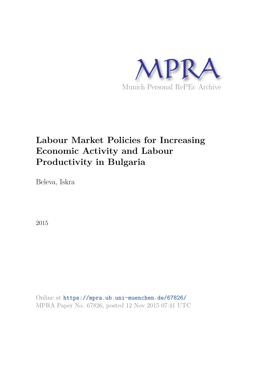

# **Labour Market Policies for Increasing Economic Activity and Labour Productivity in Bulgaria**

Beleva, Iskra

2015

Online at https://mpra.ub.uni-muenchen.de/67826/ MPRA Paper No. 67826, posted 12 Nov 2015 07:41 UTC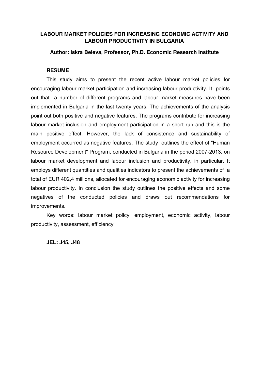# **LABOUR MARKET POLICIES FOR INCREASING ECONOMIC ACTIVITY AND LABOUR PRODUCTIVITY IN BULGARIA**

#### **Author: Iskra Beleva, Professor, Ph.D. Economic Research Institute**

#### **RESUME**

This study aims to present the recent active labour market policies for encouraging labour market participation and increasing labour productivity. It points out that a number of different programs and labour market measures have been implemented in Bulgaria in the last twenty years. The achievements of the analysis point out both positive and negative features. The programs contribute for increasing labour market inclusion and employment participation in a short run and this is the main positive effect. However, the lack of consistence and sustainability of employment occurred as negative features. The study outlines the effect of "Human Resource Development" Program, conducted in Bulgaria in the period 2007-2013, on labour market development and labour inclusion and productivity, in particular. It employs different quantities and qualities indicators to present the achievements of a total of EUR 402,4 millions, allocated for encouraging economic activity for increasing labour productivity. In conclusion the study outlines the positive effects and some negatives of the conducted policies and draws out recommendations for improvements.

Key words: labour market policy, employment, economic activity, labour productivity, assessment, efficiency

**JEL: J45, J48**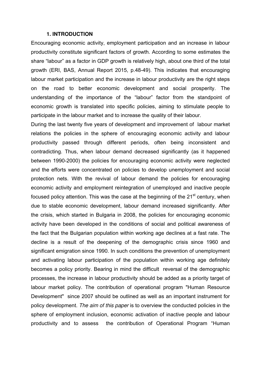#### **1. INTRODUCTION**

Encouraging economic activity, employment participation and an increase in labour productivity constitute significant factors of growth. According to some estimates the share "labour" as a factor in GDP growth is relatively high, about one third of the total growth (ERI, BAS, Annual Report 2015, p.48-49). This indicates that encouraging labour market participation and the increase in labour productivity are the right steps on the road to better economic development and social prosperity. The understanding of the importance of the "labour" factor from the standpoint of economic growth is translated into specific policies, aiming to stimulate people to participate in the labour market and to increase the quality of their labour.

During the last twenty five years of development and improvement of labour market relations the policies in the sphere of encouraging economic activity and labour productivity passed through different periods, often being inconsistent and contradicting. Thus, when labour demand decreased significantly (as it happened between 1990-2000) the policies for encouraging economic activity were neglected and the efforts were concentrated on policies to develop unemployment and social protection nets. With the revival of labour demand the policies for encouraging economic activity and employment reintegration of unemployed and inactive people focused policy attention. This was the case at the beginning of the  $21<sup>st</sup>$  century, when due to stable economic development, labour demand increased significantly. After the crisis, which started in Bulgaria in 2008, the policies for encouraging economic activity have been developed in the conditions of social and political awareness of the fact that the Bulgarian population within working age declines at a fast rate. The decline is a result of the deepening of the demographic crisis since 1960 and significant emigration since 1990. In such conditions the prevention of unemployment and activating labour participation of the population within working age definitely becomes a policy priority. Bearing in mind the difficult reversal of the demographic processes, the increase in labour productivity should be added as a priority target of labour market policy. The contribution of operational program "Human Resource Development" since 2007 should be outlined as well as an important instrument for policy development. *The aim of this paper* is to overview the conducted policies in the sphere of employment inclusion, economic activation of inactive people and labour productivity and to assess the contribution of Operational Program "Human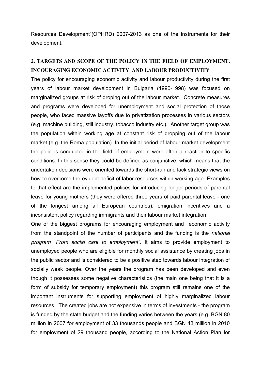Resources Development"(OPHRD) 2007-2013 as one of the instruments for their development.

# **2. TARGETS AND SCOPE OF THE POLICY IN THE FIELD OF EMPLOYMENT, INCOURAGING ECONOMIC ACTIVITY AND LABOUR PRODUCTIVITY**

The policy for encouraging economic activity and labour productivity during the first years of labour market development in Bulgaria (1990-1998) was focused on marginalized groups at risk of droping out of the labour market. Concrete measures and programs were developed for unemployment and social protection of those people, who faced massive layoffs due to privatization processes in various sectors (e.g. machine building, still industry, tobacco industry etc.). Another target group was the population within working age at constant risk of dropping out of the labour market (e.g. the Roma population). In the initial period of labour market development the policies conducted in the field of employment were often a reaction to specific conditions. In this sense they could be defined as conjunctive, which means that the undertaken decisions were oriented towards the short-run and lack strategic views on how to overcome the evident deficit of labor resources within working age. Examples to that effect are the implemented polices for introducing longer periods of parental leave for young mothers (they were offered three years of paid parental leave - one of the longest among all European countries); emigration incentives and a inconsistent policy regarding immigrants and their labour market integration.

One of the biggest programs for encouraging employment and economic activity from the standpoint of the number of participants and the funding is the *national program "From social care to employment"*. It aims to provide employment to unemployed people who are eligible for monthly social assistance by creating jobs in the public sector and is considered to be a positive step towards labour integration of socially weak people. Over the years the program has been developed and even though it possesses some negative characteristics (the main one being that it is a form of subsidy for temporary employment) this program still remains one of the important instruments for supporting employment of highly marginalized labour resources. The created jobs are not expensive in terms of investments - the program is funded by the state budget and the funding varies between the years (e.g. BGN 80 million in 2007 for employment of 33 thousands people and BGN 43 million in 2010 for employment of 29 thousand people, according to the National Action Plan for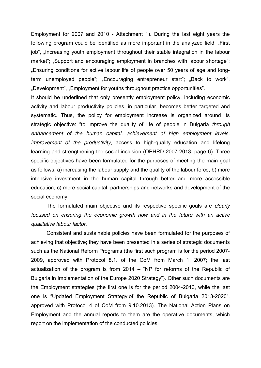Employment for 2007 and 2010 - Attachment 1). During the last eight years the following program could be identified as more important in the analyzed field: "First job", "Increasing youth employment throughout their stable integration in the labour market"; "Support and encouraging employment in branches with labour shortage"; "Ensuring conditions for active labour life of people over 50 years of age and longterm unemployed people"; "Encouraging entrepreneur start"; "Back to work", "Development", "Employment for youths throughout practice opportunities".

It should be underlined that only presently employment policy, including economic activity and labour productivity policies, in particular, becomes better targeted and systematic. Thus, the policy for employment increase is organized around its strategic objective: "to improve the quality of life of people in Bulgaria *through enhancement of the human capital, achievement of high employment levels, improvement of the productivity*, access to high-quality education and lifelong learning and strengthening the social inclusion (OPHRD 2007-2013, page 6). Three specific objectives have been formulated for the purposes of meeting the main goal as follows: a) increasing the labour supply and the quality of the labour force; b) more intensive investment in the human capital through better and more accessible education; c) more social capital, partnerships and networks and development of the social economy.

The formulated main objective and its respective specific goals are *clearly focused on ensuring the economic growth now and in the future with an active qualitative labour factor.*

Consistent and sustainable policies have been formulated for the purposes of achieving that objective; they have been presented in a series of strategic documents such as the National Reform Programs (the first such program is for the period 2007- 2009, approved with Protocol 8.1. of the CoM from March 1, 2007; the last actualization of the program is from 2014 – "NP for reforms of the Republic of Bulgaria in Implementation of the Europe 2020 Strategy"). Other such documents are the Employment strategies (the first one is for the period 2004-2010, while the last one is "Updated Employment Strategy of the Republic of Bulgaria 2013-2020", approved with Protocol 4 of CoM from 9.10.2013). The National Action Plans on Employment and the annual reports to them are the operative documents, which report on the implementation of the conducted policies.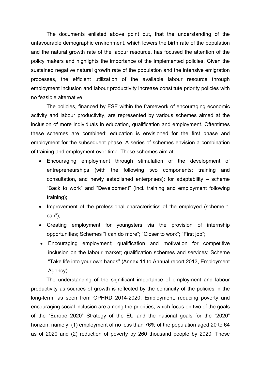The documents enlisted above point out, that the understanding of the unfavourable demographic environment, which lowers the birth rate of the population and the natural growth rate of the labour resource, has focused the attention of the policy makers and highlights the importance of the implemented policies. Given the sustained negative natural growth rate of the population and the intensive emigration processes, the efficient utilization of the available labour resource through employment inclusion and labour productivity increase constitute priority policies with no feasible alternative.

The policies, financed by ESF within the framework of encouraging economic activity and labour productivity, are represented by various schemes aimed at the inclusion of more individuals in education, qualification and employment. Oftentimes these schemes are combined; education is envisioned for the first phase and employment for the subsequent phase. A series of schemes envision a combination of training and employment over time. These schemes aim at:

- Encouraging employment through stimulation of the development of entrepreneurships (with the following two components: training and consultation, and newly established enterprises); for adaptability – scheme "Back to work" and "Development" (incl. training and employment following training);
- Improvement of the professional characteristics of the employed (scheme "I can");
- Creating employment for youngsters via the provision of internship opportunities; Schemes "I can do more"; "Closer to work"; "First job";
- Encouraging employment; qualification and motivation for competitive inclusion on the labour market; qualification schemes and services; Scheme "Take life into your own hands" (Annex 11 to Annual report 2013, Employment Agency).

The understanding of the significant importance of employment and labour productivity as sources of growth is reflected by the continuity of the policies in the long-term, as seen from OPHRD 2014-2020. Employment, reducing poverty and encouraging social inclusion are among the priorities, which focus on two of the goals of the "Europe 2020" Strategy of the EU and the national goals for the "2020" horizon, namely: (1) employment of no less than 76% of the population aged 20 to 64 as of 2020 and (2) reduction of poverty by 260 thousand people by 2020. These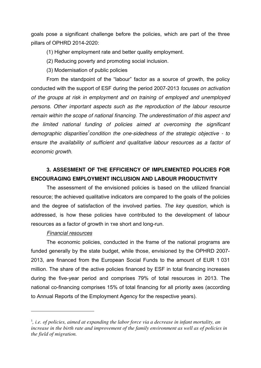goals pose a significant challenge before the policies, which are part of the three pillars of OPHRD 2014-2020:

(1) Higher employment rate and better quality employment.

- (2) Reducing poverty and promoting social inclusion.
- (3) Modernisation of public policies

From the standpoint of the "labour" factor as a source of growth*,* the policy conducted with the support of ESF during the period 2007-2013 *focuses on activation of the groups at risk in employment and on training of employed and unemployed persons. Other important aspects such as the reproduction of the labour resource remain within the scope of national financing. The underestimation of this aspect and the limited national funding of policies aimed at overcoming the significant demographic disparities<sup>1</sup> condition the one-sidedness of the strategic objective - to ensure the availability of sufficient and qualitative labour resources as a factor of economic growth.* 

# **3. ASSESMENT OF THE EFFICIENCY OF IMPLEMENTED POLICIES FOR ENCOURAGING EMPLOYMENT INCLUSION AND LABOUR PRODUCTIVITY**

The assessment of the envisioned policies is based on the utilized financial resource; the achieved qualitative indicators are compared to the goals of the policies and the degree of satisfaction of the involved parties. *The key question*, which is addressed, is how these policies have contributed to the development of labour resources as a factor of growth in тхе short and long-run.

#### *Financial resources*

 $\overline{a}$ 

The economic policies, conducted in the frame of the national programs are funded generally by the state budget, while those, envisioned by the OPHRD 2007- 2013, are financed from the European Social Funds to the amount of EUR 1 031 million. The share of the active policies financed by ESF in total financing increases during the five-year period and comprises 79% of total resources in 2013. The national co-financing comprises 15% of total financing for all priority axes (according to Annual Reports of the Employment Agency for the respective years).

<sup>&</sup>lt;sup>1</sup>, *i.e. of policies, aimed at expanding the labor force via a decrease in infant mortality, an increase in the birth rate and improvement of the family environment as well as of policies in the field of migration.*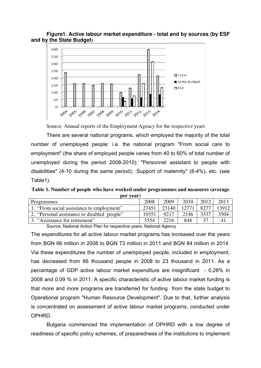#### **Figure1. Active labour market expenditure - total and by sources (by ESF and by the State Budget)**



Source: Annual reports of the Employment Agency for the respective years

There are several national programs, which employed the majority of the total number of unemployed people: i.e. the national program "From social care to employment" (the share of employed people varies from 40 to 60% of total number of unemployed during the period 2008-2010); "Personnel assistant to people with disabilities" (4-10 during the same period); :Support of maternity" (8-4%), etc. (see Table1).

**Table 1. Number of people who have worked under programmes and measures (average per year)** 

| Programmes                                  | 2008  | 2009  | 2010 | 2012  | 2013  |
|---------------------------------------------|-------|-------|------|-------|-------|
| 1. "From social assistance to employment"   | 27451 | 23140 |      | 82.77 | 13912 |
| 2. "Personal assistance to disabled people" | 10351 | 9217  | 2146 | 3337  | 3504  |
| 3. "Assistance for retirement"              | 3554  | 2216  | 848  |       | 41    |

Source: National Action Plan for respective years, National Agency

The expenditures for all active labour market programs has increased over the years from BGN 66 million in 2008 to BGN 73 million in 2011 and BGN 84 million in 2014. Via these expenditures the number of unemployed people, included in employment, has decreased from 66 thousand people in 2008 to 23 thousand in 2011. As a percentage of GDP active labour market expenditure are insignificant - 0,28% in 2008 and 0,09 % in 2011. A specific characteristic of active labour market funding is that more and more programs are transferred for funding from the state budget to Operational program "Human Resource Development". Due to that, further analysis is concentrated on assessment of active labour market programs, conducted under OPHRD.

Bulgaria commenced the implementation of OPHRD with a low degree of readiness of specific policy schemes, of preparedness of the institutions to implement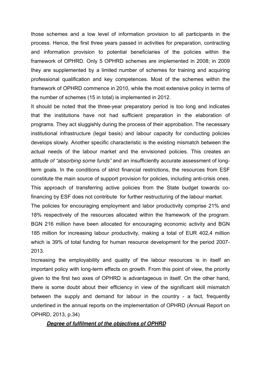those schemes and a low level of information provision to all participants in the process. Hence, the first three years passed in activities for preparation, contracting and information provision to potential beneficiaries of the policies within the framework of OPHRD. Only 5 OPHRD schemes are implemented in 2008; in 2009 they are supplemented by a limited number of schemes for training and acquiring professional qualification and key competences. Most of the schemes within the framework of OPHRD commence in 2010, while the most extensive policy in terms of the number of schemes (15 in total) is implemented in 2012.

It should be noted that the three-year preparatory period is too long and indicates that the institutions have not had sufficient preparation in the elaboration of programs. They act sluggishly during the process of their approbation. The necessary institutional infrastructure (legal basis) and labour capacity for conducting policies develops slowly. Another specific characteristic is the existing mismatch between the actual needs of the labour market and the envisioned policies. This creates an *attitude of "absorbing some funds"* and an insufficiently accurate assessment of longterm goals. In the conditions of strict financial restrictions, the resources from ESF constitute the main source of support provision for policies, including anti-crisis ones. This approach of transferring active policies from the State budget towards cofinancing by ESF does not contribute for further restructuring of the labour market.

The policies for encouraging employment and labor productivity comprise 21% and 18% respectively of the resources allocated within the framework of the program. BGN 216 million have been allocated for encouraging economic activity and BGN 185 million for increasing labour productivity, making a total of EUR 402,4 million which is 39% of total funding for human resource development for the period 2007- 2013.

Increasing the employability and quality of the labour resources is in itself an important policy with long-term effects on growth. From this point of view, the priority given to the first two axes of OPHRD is advantageous in itself. On the other hand, there is some doubt about their efficiency in view of the significant skill mismatch between the supply and demand for labour in the country - a fact, frequently underlined in the annual reports on the implementation of OPHRD (Annual Report on OPHRD, 2013, p.34)

#### *Degree of fulfilment of the objectives of OPHRD*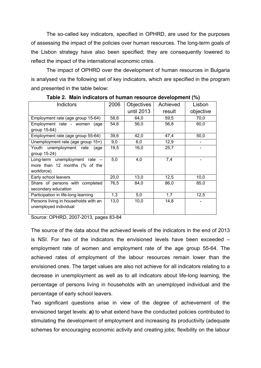The so-called key indicators, specified in OPHRD, are used for the purposes of assessing the impact of the policies over human resources. The long-term goals of the Lisbon strategy have also been specified; they are consequently lowered to reflect the impact of the international economic crisis.

The impact of OPHRD over the development of human resources in Bulgaria is analysed via the following set of key indicators, which are specified in the program and presented in the table below:

| Indictors                            | 2006 | <b>Objectives</b> | Achieved | Lisbon    |
|--------------------------------------|------|-------------------|----------|-----------|
|                                      |      | until 2013        | result   | objective |
| Employment rate (age group 15-64)    | 58,6 | 64,0              | 59,5     | 70,0      |
| Employment rate - women<br>(age      | 54,6 | 56,0              | 56,8     | 60,0      |
| group 15-64)                         |      |                   |          |           |
| Employment rate (age group 55-64)    | 39,6 | 42,0              | 47,4     | 50,0      |
| Unemployment rate (age group 15+)    | 9,0  | 6,0               | 12,9     |           |
| Youth unemployment rate<br>(age      | 19,5 | 16,0              | 25,7     |           |
| group 15-24)                         |      |                   |          |           |
| Long-term unemployment rate -        | 5,0  | 4,0               | 7,4      |           |
| more than 12 months (% of the        |      |                   |          |           |
| workforce)                           |      |                   |          |           |
| Early school leavers                 | 20,0 | 13,0              | 12,5     | 10,0      |
| Share of persons with completed      | 76,5 | 84,0              | 86,0     | 85,0      |
| secondary education                  |      |                   |          |           |
| Participation in life-long learning  | 1,3  | 5,0               | 1,7      | 12,5      |
| Persons living in households with an | 13,0 | 10,0              | 14,8     |           |
| unemployed individual                |      |                   |          |           |
|                                      |      |                   |          |           |

**Table 2. Main indicators of human resource development (%)** 

Source: OPHRD, 2007-2013, pages 83-84

The source of the data about the achieved levels of the indicators in the end of 2013 is NSI. For two of the indicators the envisioned levels have been exceeded – employment rate of women and employment rate of the age group 55-64. The achieved rates of employment of the labour resources remain lower than the envisioned ones. The target values are also not achieve for all indicators relating to a decrease in unemployment as well as to all indicators about life-long learning, the percentage of persons living in households with an unemployed individual and the percentage of early school leavers.

Two significant questions arise in view of the degree of achievement of the envisioned target levels: **a)** to what extend have the conducted policies contributed to stimulating the development of employment and increasing its productivity (adequate schemes for encouraging economic activity and creating jobs; flexibility on the labour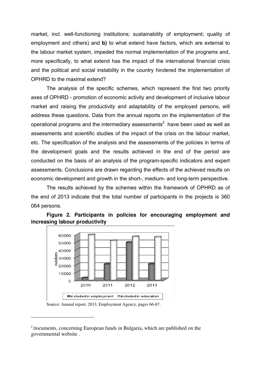market, incl. well-functioning institutions; sustainability of employment; quality of employment and others) and **b)** to what extend have factors, which are external to the labour market system, impeded the normal implementation of the programs and, more specifically, to what extend has the impact of the international financial crisis and the political and social instability in the country hindered the implementation of OPHRD to the maximal extend?

 The analysis of the specific schemes, which represent the first two priority axes of OPHRD - promotion of economic activity and development of inclusive labour market and raising the productivity and adaptability of the employed persons, will address these questions. Data from the annual reports on the implementation of the operational programs and the intermediary assessments<sup>2</sup> have been used as well as assessments and scientific studies of the impact of the crisis on the labour market, etc. The specification of the analysis and the assessments of the policies in terms of the development goals and the results achieved in the end of the period are conducted on the basis of an analysis of the program-specific indicators and expert assessments. Conclusions are drawn regarding the effects of the achieved results on economic development and growth in the short-, medium- and long-term perspective.

The results achieved by the schemes within the framework of OPHRD as of the end of 2013 indicate that the total number of participants in the projects is 360 064 persons.

**Figure 2. Participants in policies for encouraging employment and increasing labour productivity** 



Source: Annual report, 2013, Employment Agency, pages 66-67.

 $\overline{a}$ 

<sup>&</sup>lt;sup>2</sup> Documents, concerning European funds in Bulgaria, which are published on the governmental website .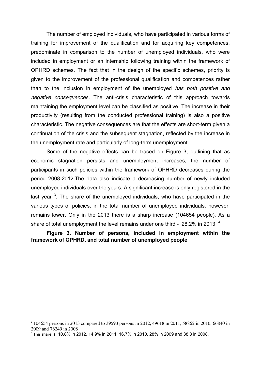The number of employed individuals, who have participated in various forms of training for improvement of the qualification and for acquiring key competences, predominate in comparison to the number of unemployed individuals, who were included in employment or an internship following training within the framework of OPHRD schemes. The fact that in the design of the specific schemes, priority is given to the improvement of the professional qualification and competences rather than to the inclusion in employment of the unemployed *has both positive and negative consequences.* The anti-crisis characteristic of this approach towards maintaining the employment level can be classified as positive. The increase in their productivity (resulting from the conducted professional training) is also a positive characteristic. The negative consequences are that the effects are short-term given a continuation of the crisis and the subsequent stagnation, reflected by the increase in the unemployment rate and particularly of long-term unemployment.

Some of the negative effects can be traced on Figure 3, outlining that as economic stagnation persists and unemployment increases, the number of participants in such policies within the framework of OPHRD decreases during the period 2008-2012.The data also indicate a decreasing number of newly included unemployed individuals over the years. A significant increase is only registered in the last year <sup>3</sup>. The share of the unemployed individuals, who have participated in the various types of policies, in the total number of unemployed individuals, however, remains lower. Only in the 2013 there is a sharp increase (104654 people). As a share of total unemployment the level remains under one third - 28.2% in 2013.<sup>4</sup>

**Figure 3. Number of persons, included in employment within the framework of OPHRD, and total number of unemployed people**

 $\overline{a}$ 

<sup>&</sup>lt;sup>3</sup> 104654 persons in 2013 compared to 39593 persons in 2012, 49618 in 2011, 58862 in 2010, 66840 in 2009 and 76249 in 2008

<sup>4</sup> This share is 10,8% in 2012, 14.9% in 2011, 16.7% in 2010, 28% in 2009 and 38,3 in 2008.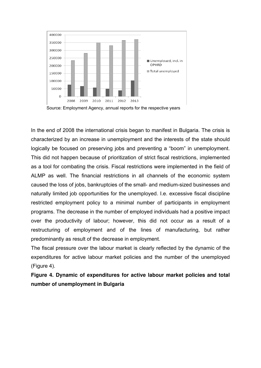

Source: Employment Agency, annual reports for the respective years

In the end of 2008 the international crisis began to manifest in Bulgaria. The crisis is characterized by an increase in unemployment and the interests of the state should logically be focused on preserving jobs and preventing a "boom" in unemployment. This did not happen because of prioritization of strict fiscal restrictions, implemented as a tool for combating the crisis. Fiscal restrictions were implemented in the field of ALMP as well. The financial restrictions in all channels of the economic system caused the loss of jobs, bankruptcies of the small- and medium-sized businesses and naturally limited job opportunities for the unemployed. I.e. excessive fiscal discipline restricted employment policy to a minimal number of participants in employment programs. The decrease in the number of employed individuals had a positive impact over the productivity of labour; however, this did not occur as a result of a restructuring of employment and of the lines of manufacturing, but rather predominantly as result of the decrease in employment.

The fiscal pressure over the labour market is clearly reflected by the dynamic of the expenditures for active labour market policies and the number of the unemployed (Figure 4).

**Figure 4. Dynamic of expenditures for active labour market policies and total number of unemployment in Bulgaria**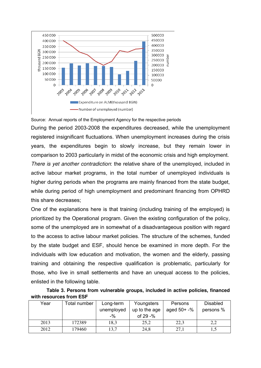

Source: Annual reports of the Employment Agency for the respective periods

During the period 2003-2008 the expenditures decreased, while the unemployment registered insignificant fluctuations. When unemployment increases during the crisis years, the expenditures begin to slowly increase, but they remain lower in comparison to 2003 particularly in midst of the economic crisis and high employment. *There is yet another contradiction*: the relative share of the unemployed, included in active labour market programs, in the total number of unemployed individuals is higher during periods when the programs are mainly financed from the state budget, while during period of high unemployment and predominant financing from OPHRD this share decreases;

One of the explanations here is that training (including training of the employed) is prioritized by the Operational program. Given the existing configuration of the policy, some of the unemployed are in somewhat of a disadvantageous position with regard to the access to active labour market policies. The structure of the schemes, funded by the state budget and ESF, should hence be examined in more depth. For the individuals with low education and motivation, the women and the elderly, passing training and obtaining the respective qualification is problematic, particularly for those, who live in small settlements and have an unequal access to the policies, enlisted in the following table.

| Table 3. Persons from vulnerable groups, included in active policies, financed |  |  |  |
|--------------------------------------------------------------------------------|--|--|--|
| with resources from ESF                                                        |  |  |  |

| Year | Total number | Long-term<br>unemployed<br>$-$ % | Youngsters<br>up to the age<br>of $29 - %$ | Persons<br>aged $50+ -\frac{6}{5}$ | <b>Disabled</b><br>persons % |
|------|--------------|----------------------------------|--------------------------------------------|------------------------------------|------------------------------|
| 2013 | 172389       | 18,3                             | 25,2                                       | 22,3                               | 2,2                          |
| 2012 | 179460       | 13,7                             | 24,8                                       | 27,1                               | 1,5                          |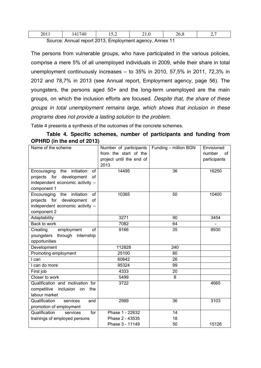| 201.                                                    | 41740 |  |  | 26.8 |  |
|---------------------------------------------------------|-------|--|--|------|--|
| Source: Annual report 2013, Employment agency, Annex 11 |       |  |  |      |  |

The persons from vulnerable groups, who have participated in the various policies, comprise a mere 5% of all unemployed individuals in 2009, while their share in total unemployment continuously increases – to 35% in 2010, 57,5% in 2011, 72,3% in 2012 and 78,7% in 2013 (see Annual report, Employment agency, page 56). The youngsters, the persons aged 50+ and the long-term unemployed are the main groups, on which the inclusion efforts are focused. *Despite that, the share of these groups in total unemployment remains large, which shows that inclusion in these programs does not provide a lasting solution to the problem.*

Table 4 presents a synthesis of the outcomes of the concrete schemes.

### **Table 4. Specific schemes, number of participants and funding from OPHRD (in the end of 2013)**

| Name of the scheme                     | Number of participants   | Funding - million BGN | Envisioned   |
|----------------------------------------|--------------------------|-----------------------|--------------|
|                                        | from the start of the    |                       | number<br>of |
|                                        | project until the end of |                       | participants |
|                                        | 2013                     |                       |              |
| initiation<br>Encouraging<br>the<br>of | 14495                    | 36                    | 16250        |
| projects for<br>development<br>of      |                          |                       |              |
| independent economic activity -        |                          |                       |              |
| component 1                            |                          |                       |              |
| Encouraging<br>initiation<br>of<br>the | 10365                    | 50                    | 10400        |
| projects for<br>development<br>of      |                          |                       |              |
| independent economic activity -        |                          |                       |              |
| component 2                            |                          |                       |              |
| Adaptability                           | 3271                     | 90                    | 3454         |
| Back to work                           | 7082                     | 64                    |              |
| Creating<br>employment<br>of           | 9166                     | 35                    | 8930         |
| youngsters<br>through internship       |                          |                       |              |
| opportunities                          |                          |                       |              |
| Development                            | 112828                   | 240                   |              |
| Promoting employment                   | 25100                    | 80                    |              |
| I can                                  | 60642                    | 26                    |              |
| I can do more                          | 95324                    | 99                    |              |
| First job                              | 4333                     | 20                    |              |
| Closer to work                         | 5499                     | 8                     |              |
| Qualification and motivation for       | 3722                     |                       | 4665         |
| competitive<br>inclusion<br>the<br>on  |                          |                       |              |
| labour market                          |                          |                       |              |
| Qualification<br>services<br>and       | 2989                     | 36                    | 3103         |
| promotion of employment                |                          |                       |              |
| Qualification<br>services<br>for       | Phase 1 - 22632          | 14                    |              |
| trainings of employed persons          | Phase 2 - 43535          | 18                    |              |
|                                        | Phase 3 - 11149          | 50                    | 15126        |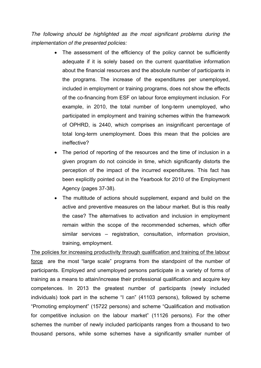*The following should be highlighted as the most significant problems during the implementation of the presented policies:* 

- The assessment of the efficiency of the policy cannot be sufficiently adequate if it is solely based on the current quantitative information about the financial resources and the absolute number of participants in the programs. The increase of the expenditures per unemployed, included in employment or training programs, does not show the effects of the co-financing from ESF on labour force employment inclusion. For example, in 2010, the total number of long-term unemployed, who participated in employment and training schemes within the framework of OPHRD, is 2440, which comprises an insignificant percentage of total long-term unemployment. Does this mean that the policies are ineffective?
- The period of reporting of the resources and the time of inclusion in a given program do not coincide in time, which significantly distorts the perception of the impact of the incurred expenditures. This fact has been explicitly pointed out in the Yearbook for 2010 of the Employment Agency (pages 37-38).
- The multitude of actions should supplement, expand and build on the active and preventive measures on the labour market. But is this really the case? The alternatives to activation and inclusion in employment remain within the scope of the recommended schemes, which offer similar services – registration, consultation, information provision, training, employment.

The policies for increasing productivity through qualification and training of the labour force are the most "large scale" programs from the standpoint of the number of participants. Employed and unemployed persons participate in a variety of forms of training as a means to attain/increase their professional qualification and acquire key competences. In 2013 the greatest number of participants (newly included individuals) took part in the scheme "I can" (41103 persons), followed by scheme "Promoting employment" (15722 persons) and scheme "Qualification and motivation for competitive inclusion on the labour market" (11126 persons). For the other schemes the number of newly included participants ranges from a thousand to two thousand persons, while some schemes have a significantly smaller number of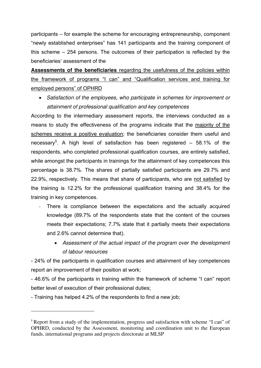participants – for example the scheme for encouraging entrepreneurship, component "newly established enterprises" has 141 participants and the training component of this scheme – 254 persons. The outcomes of their participation is reflected by the beneficiaries' assessment of the

**Assessments of the beneficiaries** regarding the usefulness of the policies within the framework of programs "I can" and "Qualification services and training for employed persons" of OPHRD

• *Satisfaction of the employees, who participate in schemes for improvement or attainment of professional qualification and key competences* 

According to the intermediary assessment reports, the interviews conducted as a means to study the effectiveness of the programs indicate that the majority of the schemes receive a positive evaluation; the beneficiaries consider them useful and necessary<sup>5</sup>. A high level of satisfaction has been registered – 58.1% of the respondents, who completed professional qualification courses, are entirely satisfied, while amongst the participants in trainings for the attainment of key competences this percentage is 38.7%. The shares of partially satisfied participants are 29.7% and 22.9%, respectively. This means that share of participants, who are not satisfied by the training is 12.2% for the professional qualification training and 38.4% for the training in key competences.

- There is compliance between the expectations and the actually acquired knowledge (89.7% of the respondents state that the content of the courses meets their expectations; 7.7% state that it partially meets their expectations and 2.6% cannot determine that).
	- *Assessment of the actual impact of the program over the development of labour resources*

- 24% of the participants in qualification courses and attainment of key competences report an improvement of their position at work;

- 46.6% of the participants in training within the framework of scheme "I can" report better level of execution of their professional duties;

- Training has helped 4.2% of the respondents to find a new job;

 $\overline{a}$ 

<sup>&</sup>lt;sup>5</sup> Report from a study of the implementation, progress and satisfaction with scheme "I can" of OPHRD, conducted by the Assessment, monitoring and coordination unit to the European funds, international programs and projects directorate at MLSP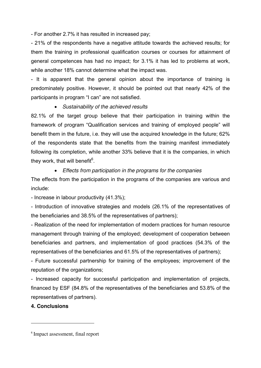- For another 2.7% it has resulted in increased pay;

- 21% of the respondents have a negative attitude towards the achieved results; for them the training in professional qualification courses or courses for attainment of general competences has had no impact; for 3.1% it has led to problems at work, while another 18% cannot determine what the impact was.

- It is apparent that the general opinion about the importance of training is predominately positive. However, it should be pointed out that nearly 42% of the participants in program "I can" are not satisfied.

## • *Sustainability of the achieved results*

82.1% of the target group believe that their participation in training within the framework of program "Qualification services and training of employed people" will benefit them in the future, i.e. they will use the acquired knowledge in the future; 62% of the respondents state that the benefits from the training manifest immediately following its completion, while another 33% believe that it is the companies, in which they work, that will benefit<sup>6</sup>.

## • *Effects from participation in the programs for the companies*

The effects from the participation in the programs of the companies are various and include:

- Increase in labour productivity (41.3%);

- Introduction of innovative strategies and models (26.1% of the representatives of the beneficiaries and 38.5% of the representatives of partners);

- Realization of the need for implementation of modern practices for human resource management through training of the employed; development of cooperation between beneficiaries and partners, and implementation of good practices (54.3% of the representatives of the beneficiaries and 61.5% of the representatives of partners);

- Future successful partnership for training of the employees; improvement of the reputation of the organizations;

- Increased capacity for successful participation and implementation of projects, financed by ESF (84.8% of the representatives of the beneficiaries and 53.8% of the representatives of partners).

# **4. Conclusions**

 $\overline{a}$ 

<sup>6</sup> Impact assessment, final report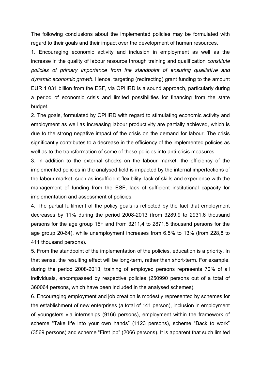The following conclusions about the implemented policies may be formulated with regard to their goals and their impact over the development of human resources.

1. Encouraging economic activity and inclusion in employment as well as the increase in the quality of labour resource through training and qualification *constitute policies of primary importance from the standpoint of ensuring qualitative and dynamic economic growth*. Hence, targeting (redirecting) grant funding to the amount EUR 1 031 billion from the ESF, via OPHRD is a sound approach, particularly during a period of economic crisis and limited possibilities for financing from the state budget.

2. The goals, formulated by OPHRD with regard to stimulating economic activity and employment as well as increasing labour productivity are partially achieved, which is due to the strong negative impact of the crisis on the demand for labour. The crisis significantly contributes to a decrease in the efficiency of the implemented policies as well as to the transformation of some of these policies into anti-crisis measures.

3. In addition to the external shocks on the labour market, the efficiency of the implemented policies in the analysed field is impacted by the internal imperfections of the labour market, such as insufficient flexibility, lack of skills and experience with the management of funding from the ESF, lack of sufficient institutional capacity for implementation and assessment of policies.

4. The partial fulfilment of the policy goals is reflected by the fact that employment decreases by 11% during the period 2008-2013 (from 3289,9 to 2931,6 thousand persons for the age group 15+ and from 3211,4 to 2871,5 thousand persons for the age group 20-64), while unemployment increases from 6.5% to 13% (from 228,8 to 411 thousand persons).

5. From the standpoint of the implementation of the policies, education is a priority. In that sense, the resulting effect will be long-term, rather than short-term. For example, during the period 2008-2013, training of employed persons represents 70% of all individuals, encompassed by respective policies (250990 persons out of a total of 360064 persons, which have been included in the analysed schemes).

6. Encouraging employment and job creation is modestly represented by schemes for the establishment of new enterprises (a total of 141 person), inclusion in employment of youngsters via internships (9166 persons), employment within the framework of scheme "Take life into your own hands" (1123 persons), scheme "Back to work" (3569 persons) and scheme "First job" (2066 persons). It is apparent that such limited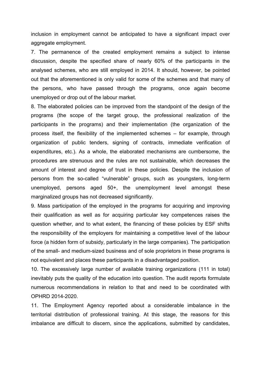inclusion in employment cannot be anticipated to have a significant impact over aggregate employment.

7. The permanence of the created employment remains a subject to intense discussion, despite the specified share of nearly 60% of the participants in the analysed schemes, who are still employed in 2014. It should, however, be pointed out that the aforementioned is only valid for some of the schemes and that many of the persons, who have passed through the programs, once again become unemployed or drop out of the labour market.

8. The elaborated policies can be improved from the standpoint of the design of the programs (the scope of the target group, the professional realization of the participants in the programs) and their implementation (the organization of the process itself, the flexibility of the implemented schemes – for example, through organization of public tenders, signing of contracts, immediate verification of expenditures, etc.). As a whole, the elaborated mechanisms are cumbersome, the procedures are strenuous and the rules are not sustainable, which decreases the amount of interest and degree of trust in these policies. Despite the inclusion of persons from the so-called "vulnerable" groups, such as youngsters, long-term unemployed, persons aged 50+, the unemployment level amongst these marginalized groups has not decreased significantly.

9. Mass participation of the employed in the programs for acquiring and improving their qualification as well as for acquiring particular key competences raises the question whether, and to what extent, the financing of these policies by ESF shifts the responsibility of the employers for maintaining a competitive level of the labour force (a hidden form of subsidy, particularly in the large companies). The participation of the small- and medium-sized business and of sole proprietors in these programs is not equivalent and places these participants in a disadvantaged position.

10. The excessively large number of available training organizations (111 in total) inevitably puts the quality of the education into question. The audit reports formulate numerous recommendations in relation to that and need to be coordinated with OPHRD 2014-2020.

11. The Employment Agency reported about a considerable imbalance in the territorial distribution of professional training. At this stage, the reasons for this imbalance are difficult to discern, since the applications, submitted by candidates,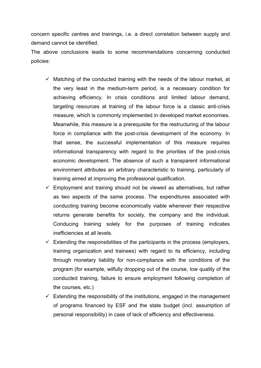concern specific centres and trainings, i.e. a direct correlation between supply and demand cannot be identified.

The above conclusions leads to some recommendations concerning conducted policies:

- $\checkmark$  Matching of the conducted training with the needs of the labour market, at the very least in the medium-term period, is a necessary condition for achieving efficiency. In crisis conditions and limited labour demand, targeting resources at training of the labour force is a classic anti-crisis measure, which is commonly implemented in developed market economies. Meanwhile, this measure is a prerequisite for the restructuring of the labour force in compliance with the post-crisis development of the economy. In that sense, the successful implementation of this measure requires informational transparency with regard to the priorities of the post-crisis economic development. The absence of such a transparent informational environment attributes an arbitrary characteristic to training, particularly of training aimed at improving the professional qualification.
- $\checkmark$  Employment and training should not be viewed as alternatives, but rather as two aspects of the same process. The expenditures associated with conducting training become economically viable whenever their respective returns generate benefits for society, the company and the individual. Conducing training solely for the purposes of training indicates inefficiencies at all levels.
- $\checkmark$  Extending the responsibilities of the participants in the process (employers, training organization and trainees) with regard to its efficiency, including through monetary liability for non-compliance with the conditions of the program (for example, wilfully dropping out of the course, low quality of the conducted training, failure to ensure employment following completion of the courses, etc.)
- $\checkmark$  Extending the responsibility of the institutions, engaged in the management of programs financed by ESF and the state budget (incl. assumption of personal responsibility) in case of lack of efficiency and effectiveness.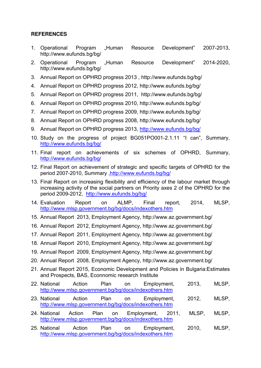# **REFERENCES**

- 1. Operational Program "Human Resource Development" 2007-2013, http://www.eufunds.bg/bg/
- 2. Operational Program "Human Resource Development" 2014-2020, http://www.eufunds.bg/bg/
- 3. Annual Report on OPHRD progress 2013 , http://www.eufunds.bg/bg/
- 4. Annual Report on OPHRD progress 2012, http://www.eufunds.bg/bg/
- 5. Annual Report on OPHRD progress 2011, http://www.eufunds.bg/bg/
- 6. Annual Report on OPHRD progress 2010, http://www.eufunds.bg/bg/
- 7. Annual Report on OPHRD progress 2009, http://www.eufunds.bg/bg/
- 8. Annual Report on OPHRD progress 2008, http://www.eufunds.bg/bg/
- 9. Annual Report on OPHRD progress 2013, http://www.eufunds.bg/bg/
- 10. Study on the progress of project BG051PO001-2.1.11 "I can", Summary, http://www.eufunds.bg/bg/
- 11. Final report on achievements of six schemes of OPHRD, Summary, http://www.eufunds.bg/bg/
- 12. Final Report on achievement of strategic and specific targets of OPHRD for the period 2007-2010, Summary ,http://www.eufunds.bg/bg/
- 13. Final Report on increasing flexibility and efficiency of the labour market through increasing activity of the social partners on Priority axes 2 of the OPHRD for the period 2009-2012, http://www.eufunds.bg/bg/
- 14. Evaluation Report on ALMP, Final report, 2014, MLSP, http://www.mlsp.government.bg/bg/docs/indexothers.htm
- 15. Annual Report 2013, Employment Agency, http://www.az.government.bg/
- 16. Annual Report 2012, Employment Agency, http://www.az.government.bg/
- 17. Annual Report 2011, Employment Agency, http://www.az.government.bg/
- 18. Annual Report 2010, Employment Agency, http://www.az.government.bg/
- 19. Annual Report 2009, Employment Agency, http://www.az.government.bg/
- 20. Annual Report 2008, Employment Agency, http://www.az.government.bg/
- 21. Annual Report 2015, Economic Development and Policies in Bulgaria:Estimates and Prospects, BAS, Econnomic research Institute
- 22. National Action Plan on Employment, 2013, MLSP, http://www.mlsp.government.bg/bg/docs/indexothers.htm
- 23. National Action Plan on Employment, 2012, MLSP, http://www.mlsp.government.bg/bg/docs/indexothers.htm
- 24. National Action Plan on Employment, 2011, MLSP, MLSP, http://www.mlsp.government.bg/bg/docs/indexothers.htm
- 25. National Action Plan on Employment, 2010, MLSP, http://www.mlsp.government.bg/bg/docs/indexothers.htm